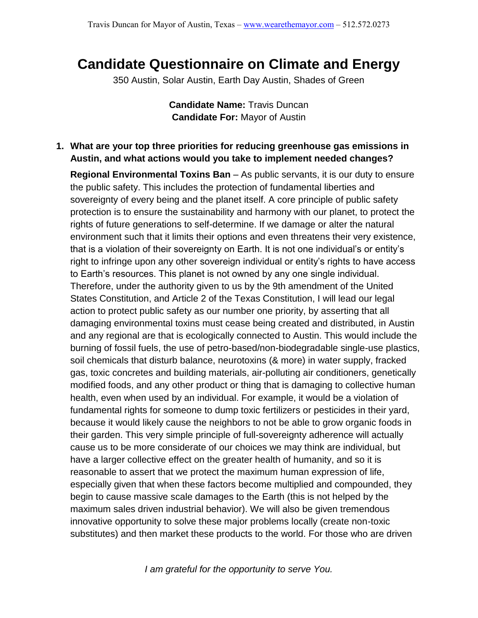## **Candidate Questionnaire on Climate and Energy**

350 Austin, Solar Austin, Earth Day Austin, Shades of Green

**Candidate Name:** Travis Duncan **Candidate For:** Mayor of Austin

## **1. What are your top three priorities for reducing greenhouse gas emissions in Austin, and what actions would you take to implement needed changes?**

**Regional Environmental Toxins Ban** – As public servants, it is our duty to ensure the public safety. This includes the protection of fundamental liberties and sovereignty of every being and the planet itself. A core principle of public safety protection is to ensure the sustainability and harmony with our planet, to protect the rights of future generations to self-determine. If we damage or alter the natural environment such that it limits their options and even threatens their very existence, that is a violation of their sovereignty on Earth. It is not one individual's or entity's right to infringe upon any other sovereign individual or entity's rights to have access to Earth's resources. This planet is not owned by any one single individual. Therefore, under the authority given to us by the 9th amendment of the United States Constitution, and Article 2 of the Texas Constitution, I will lead our legal action to protect public safety as our number one priority, by asserting that all damaging environmental toxins must cease being created and distributed, in Austin and any regional are that is ecologically connected to Austin. This would include the burning of fossil fuels, the use of petro-based/non-biodegradable single-use plastics, soil chemicals that disturb balance, neurotoxins (& more) in water supply, fracked gas, toxic concretes and building materials, air-polluting air conditioners, genetically modified foods, and any other product or thing that is damaging to collective human health, even when used by an individual. For example, it would be a violation of fundamental rights for someone to dump toxic fertilizers or pesticides in their yard, because it would likely cause the neighbors to not be able to grow organic foods in their garden. This very simple principle of full-sovereignty adherence will actually cause us to be more considerate of our choices we may think are individual, but have a larger collective effect on the greater health of humanity, and so it is reasonable to assert that we protect the maximum human expression of life, especially given that when these factors become multiplied and compounded, they begin to cause massive scale damages to the Earth (this is not helped by the maximum sales driven industrial behavior). We will also be given tremendous innovative opportunity to solve these major problems locally (create non-toxic substitutes) and then market these products to the world. For those who are driven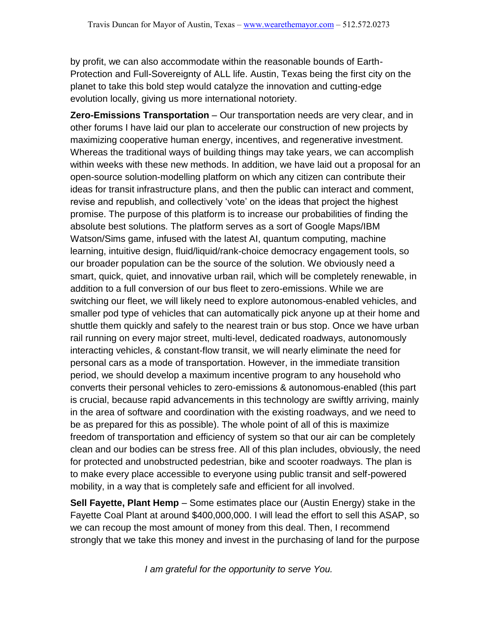by profit, we can also accommodate within the reasonable bounds of Earth-Protection and Full-Sovereignty of ALL life. Austin, Texas being the first city on the planet to take this bold step would catalyze the innovation and cutting-edge evolution locally, giving us more international notoriety.

**Zero-Emissions Transportation** – Our transportation needs are very clear, and in other forums I have laid our plan to accelerate our construction of new projects by maximizing cooperative human energy, incentives, and regenerative investment. Whereas the traditional ways of building things may take years, we can accomplish within weeks with these new methods. In addition, we have laid out a proposal for an open-source solution-modelling platform on which any citizen can contribute their ideas for transit infrastructure plans, and then the public can interact and comment, revise and republish, and collectively 'vote' on the ideas that project the highest promise. The purpose of this platform is to increase our probabilities of finding the absolute best solutions. The platform serves as a sort of Google Maps/IBM Watson/Sims game, infused with the latest AI, quantum computing, machine learning, intuitive design, fluid/liquid/rank-choice democracy engagement tools, so our broader population can be the source of the solution. We obviously need a smart, quick, quiet, and innovative urban rail, which will be completely renewable, in addition to a full conversion of our bus fleet to zero-emissions. While we are switching our fleet, we will likely need to explore autonomous-enabled vehicles, and smaller pod type of vehicles that can automatically pick anyone up at their home and shuttle them quickly and safely to the nearest train or bus stop. Once we have urban rail running on every major street, multi-level, dedicated roadways, autonomously interacting vehicles, & constant-flow transit, we will nearly eliminate the need for personal cars as a mode of transportation. However, in the immediate transition period, we should develop a maximum incentive program to any household who converts their personal vehicles to zero-emissions & autonomous-enabled (this part is crucial, because rapid advancements in this technology are swiftly arriving, mainly in the area of software and coordination with the existing roadways, and we need to be as prepared for this as possible). The whole point of all of this is maximize freedom of transportation and efficiency of system so that our air can be completely clean and our bodies can be stress free. All of this plan includes, obviously, the need for protected and unobstructed pedestrian, bike and scooter roadways. The plan is to make every place accessible to everyone using public transit and self-powered mobility, in a way that is completely safe and efficient for all involved.

**Sell Fayette, Plant Hemp** – Some estimates place our (Austin Energy) stake in the Fayette Coal Plant at around \$400,000,000. I will lead the effort to sell this ASAP, so we can recoup the most amount of money from this deal. Then, I recommend strongly that we take this money and invest in the purchasing of land for the purpose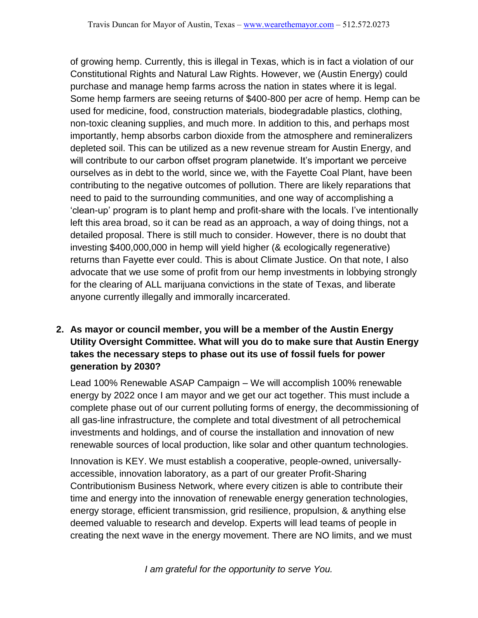of growing hemp. Currently, this is illegal in Texas, which is in fact a violation of our Constitutional Rights and Natural Law Rights. However, we (Austin Energy) could purchase and manage hemp farms across the nation in states where it is legal. Some hemp farmers are seeing returns of \$400-800 per acre of hemp. Hemp can be used for medicine, food, construction materials, biodegradable plastics, clothing, non-toxic cleaning supplies, and much more. In addition to this, and perhaps most importantly, hemp absorbs carbon dioxide from the atmosphere and remineralizers depleted soil. This can be utilized as a new revenue stream for Austin Energy, and will contribute to our carbon offset program planetwide. It's important we perceive ourselves as in debt to the world, since we, with the Fayette Coal Plant, have been contributing to the negative outcomes of pollution. There are likely reparations that need to paid to the surrounding communities, and one way of accomplishing a 'clean-up' program is to plant hemp and profit-share with the locals. I've intentionally left this area broad, so it can be read as an approach, a way of doing things, not a detailed proposal. There is still much to consider. However, there is no doubt that investing \$400,000,000 in hemp will yield higher (& ecologically regenerative) returns than Fayette ever could. This is about Climate Justice. On that note, I also advocate that we use some of profit from our hemp investments in lobbying strongly for the clearing of ALL marijuana convictions in the state of Texas, and liberate anyone currently illegally and immorally incarcerated.

## **2. As mayor or council member, you will be a member of the Austin Energy Utility Oversight Committee. What will you do to make sure that Austin Energy takes the necessary steps to phase out its use of fossil fuels for power generation by 2030?**

Lead 100% Renewable ASAP Campaign – We will accomplish 100% renewable energy by 2022 once I am mayor and we get our act together. This must include a complete phase out of our current polluting forms of energy, the decommissioning of all gas-line infrastructure, the complete and total divestment of all petrochemical investments and holdings, and of course the installation and innovation of new renewable sources of local production, like solar and other quantum technologies.

Innovation is KEY. We must establish a cooperative, people-owned, universallyaccessible, innovation laboratory, as a part of our greater Profit-Sharing Contributionism Business Network, where every citizen is able to contribute their time and energy into the innovation of renewable energy generation technologies, energy storage, efficient transmission, grid resilience, propulsion, & anything else deemed valuable to research and develop. Experts will lead teams of people in creating the next wave in the energy movement. There are NO limits, and we must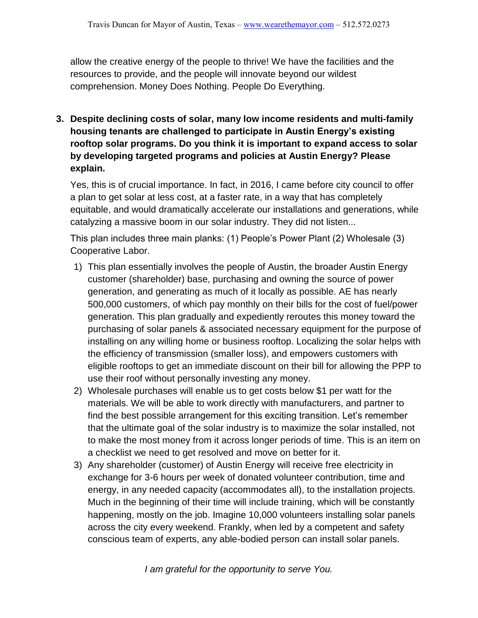allow the creative energy of the people to thrive! We have the facilities and the resources to provide, and the people will innovate beyond our wildest comprehension. Money Does Nothing. People Do Everything.

**3. Despite declining costs of solar, many low income residents and multi-family housing tenants are challenged to participate in Austin Energy's existing rooftop solar programs. Do you think it is important to expand access to solar by developing targeted programs and policies at Austin Energy? Please explain.**

Yes, this is of crucial importance. In fact, in 2016, I came before city council to offer a plan to get solar at less cost, at a faster rate, in a way that has completely equitable, and would dramatically accelerate our installations and generations, while catalyzing a massive boom in our solar industry. They did not listen...

This plan includes three main planks: (1) People's Power Plant (2) Wholesale (3) Cooperative Labor.

- 1) This plan essentially involves the people of Austin, the broader Austin Energy customer (shareholder) base, purchasing and owning the source of power generation, and generating as much of it locally as possible. AE has nearly 500,000 customers, of which pay monthly on their bills for the cost of fuel/power generation. This plan gradually and expediently reroutes this money toward the purchasing of solar panels & associated necessary equipment for the purpose of installing on any willing home or business rooftop. Localizing the solar helps with the efficiency of transmission (smaller loss), and empowers customers with eligible rooftops to get an immediate discount on their bill for allowing the PPP to use their roof without personally investing any money.
- 2) Wholesale purchases will enable us to get costs below \$1 per watt for the materials. We will be able to work directly with manufacturers, and partner to find the best possible arrangement for this exciting transition. Let's remember that the ultimate goal of the solar industry is to maximize the solar installed, not to make the most money from it across longer periods of time. This is an item on a checklist we need to get resolved and move on better for it.
- 3) Any shareholder (customer) of Austin Energy will receive free electricity in exchange for 3-6 hours per week of donated volunteer contribution, time and energy, in any needed capacity (accommodates all), to the installation projects. Much in the beginning of their time will include training, which will be constantly happening, mostly on the job. Imagine 10,000 volunteers installing solar panels across the city every weekend. Frankly, when led by a competent and safety conscious team of experts, any able-bodied person can install solar panels.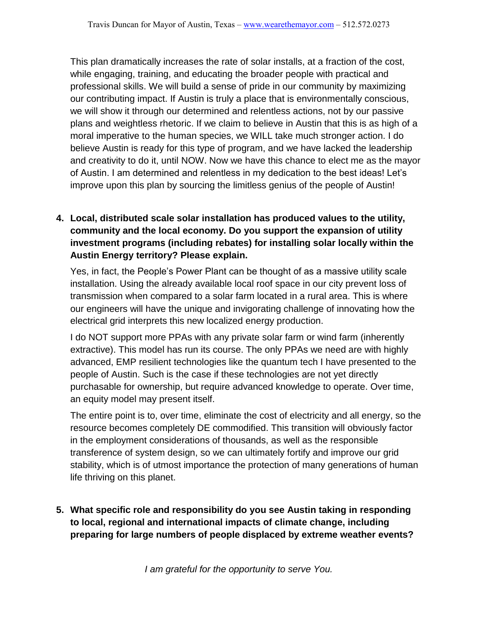This plan dramatically increases the rate of solar installs, at a fraction of the cost, while engaging, training, and educating the broader people with practical and professional skills. We will build a sense of pride in our community by maximizing our contributing impact. If Austin is truly a place that is environmentally conscious, we will show it through our determined and relentless actions, not by our passive plans and weightless rhetoric. If we claim to believe in Austin that this is as high of a moral imperative to the human species, we WILL take much stronger action. I do believe Austin is ready for this type of program, and we have lacked the leadership and creativity to do it, until NOW. Now we have this chance to elect me as the mayor of Austin. I am determined and relentless in my dedication to the best ideas! Let's improve upon this plan by sourcing the limitless genius of the people of Austin!

**4. Local, distributed scale solar installation has produced values to the utility, community and the local economy. Do you support the expansion of utility investment programs (including rebates) for installing solar locally within the Austin Energy territory? Please explain.**

Yes, in fact, the People's Power Plant can be thought of as a massive utility scale installation. Using the already available local roof space in our city prevent loss of transmission when compared to a solar farm located in a rural area. This is where our engineers will have the unique and invigorating challenge of innovating how the electrical grid interprets this new localized energy production.

I do NOT support more PPAs with any private solar farm or wind farm (inherently extractive). This model has run its course. The only PPAs we need are with highly advanced, EMP resilient technologies like the quantum tech I have presented to the people of Austin. Such is the case if these technologies are not yet directly purchasable for ownership, but require advanced knowledge to operate. Over time, an equity model may present itself.

The entire point is to, over time, eliminate the cost of electricity and all energy, so the resource becomes completely DE commodified. This transition will obviously factor in the employment considerations of thousands, as well as the responsible transference of system design, so we can ultimately fortify and improve our grid stability, which is of utmost importance the protection of many generations of human life thriving on this planet.

**5. What specific role and responsibility do you see Austin taking in responding to local, regional and international impacts of climate change, including preparing for large numbers of people displaced by extreme weather events?**